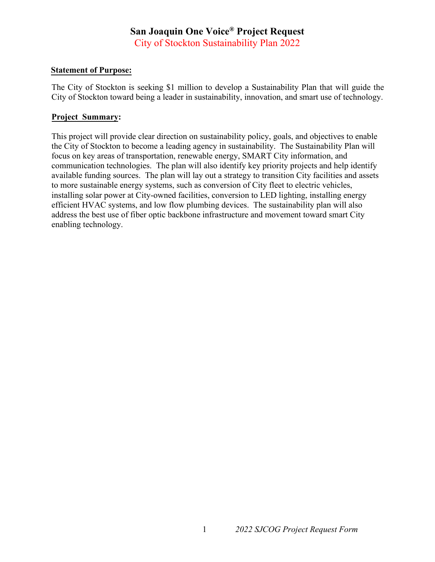## **San Joaquin One Voice® Project Request**  City of Stockton Sustainability Plan 2022

## **Statement of Purpose:**

The City of Stockton is seeking \$1 million to develop a Sustainability Plan that will guide the City of Stockton toward being a leader in sustainability, innovation, and smart use of technology.

## **Project Summary:**

This project will provide clear direction on sustainability policy, goals, and objectives to enable the City of Stockton to become a leading agency in sustainability. The Sustainability Plan will focus on key areas of transportation, renewable energy, SMART City information, and communication technologies. The plan will also identify key priority projects and help identify available funding sources. The plan will lay out a strategy to transition City facilities and assets to more sustainable energy systems, such as conversion of City fleet to electric vehicles, installing solar power at City-owned facilities, conversion to LED lighting, installing energy efficient HVAC systems, and low flow plumbing devices. The sustainability plan will also address the best use of fiber optic backbone infrastructure and movement toward smart City enabling technology.